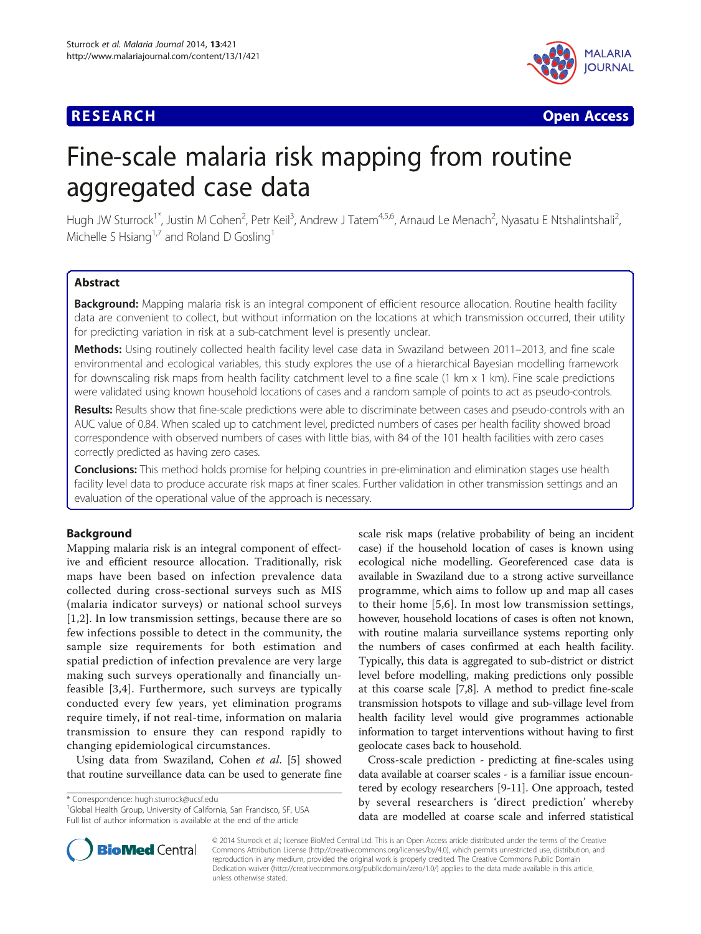# **RESEARCH CHE Open Access**



# Fine-scale malaria risk mapping from routine aggregated case data

Hugh JW Sturrock<sup>1\*</sup>, Justin M Cohen<sup>2</sup>, Petr Keil<sup>3</sup>, Andrew J Tatem<sup>4,5,6</sup>, Arnaud Le Menach<sup>2</sup>, Nyasatu E Ntshalintshali<sup>2</sup> , Michelle S Hsiang<sup>1,7</sup> and Roland D Gosling<sup>1</sup>

# Abstract

Background: Mapping malaria risk is an integral component of efficient resource allocation. Routine health facility data are convenient to collect, but without information on the locations at which transmission occurred, their utility for predicting variation in risk at a sub-catchment level is presently unclear.

Methods: Using routinely collected health facility level case data in Swaziland between 2011–2013, and fine scale environmental and ecological variables, this study explores the use of a hierarchical Bayesian modelling framework for downscaling risk maps from health facility catchment level to a fine scale (1 km x 1 km). Fine scale predictions were validated using known household locations of cases and a random sample of points to act as pseudo-controls.

Results: Results show that fine-scale predictions were able to discriminate between cases and pseudo-controls with an AUC value of 0.84. When scaled up to catchment level, predicted numbers of cases per health facility showed broad correspondence with observed numbers of cases with little bias, with 84 of the 101 health facilities with zero cases correctly predicted as having zero cases.

Conclusions: This method holds promise for helping countries in pre-elimination and elimination stages use health facility level data to produce accurate risk maps at finer scales. Further validation in other transmission settings and an evaluation of the operational value of the approach is necessary.

# Background

Mapping malaria risk is an integral component of effective and efficient resource allocation. Traditionally, risk maps have been based on infection prevalence data collected during cross-sectional surveys such as MIS (malaria indicator surveys) or national school surveys [[1,2\]](#page-8-0). In low transmission settings, because there are so few infections possible to detect in the community, the sample size requirements for both estimation and spatial prediction of infection prevalence are very large making such surveys operationally and financially unfeasible [[3,4](#page-8-0)]. Furthermore, such surveys are typically conducted every few years, yet elimination programs require timely, if not real-time, information on malaria transmission to ensure they can respond rapidly to changing epidemiological circumstances.

Using data from Swaziland, Cohen et al. [\[5](#page-8-0)] showed that routine surveillance data can be used to generate fine

\* Correspondence: [hugh.sturrock@ucsf.edu](mailto:hugh.sturrock@ucsf.edu) <sup>1</sup>

<sup>1</sup>Global Health Group, University of California, San Francisco, SF, USA Full list of author information is available at the end of the article



Cross-scale prediction - predicting at fine-scales using data available at coarser scales - is a familiar issue encountered by ecology researchers [[9-11\]](#page-8-0). One approach, tested by several researchers is 'direct prediction' whereby data are modelled at coarse scale and inferred statistical



© 2014 Sturrock et al.; licensee BioMed Central Ltd. This is an Open Access article distributed under the terms of the Creative Commons Attribution License [\(http://creativecommons.org/licenses/by/4.0\)](http://creativecommons.org/licenses/by/4.0), which permits unrestricted use, distribution, and reproduction in any medium, provided the original work is properly credited. The Creative Commons Public Domain Dedication waiver [\(http://creativecommons.org/publicdomain/zero/1.0/](http://creativecommons.org/publicdomain/zero/1.0/)) applies to the data made available in this article, unless otherwise stated.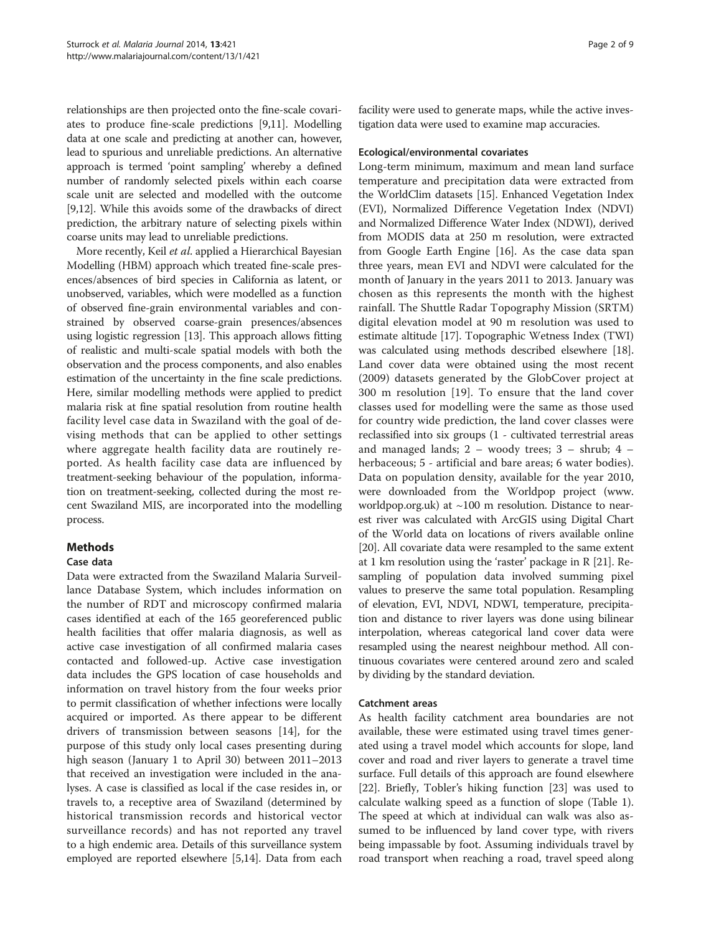relationships are then projected onto the fine-scale covariates to produce fine-scale predictions [\[9,11](#page-8-0)]. Modelling data at one scale and predicting at another can, however, lead to spurious and unreliable predictions. An alternative approach is termed 'point sampling' whereby a defined number of randomly selected pixels within each coarse scale unit are selected and modelled with the outcome [[9,12](#page-8-0)]. While this avoids some of the drawbacks of direct prediction, the arbitrary nature of selecting pixels within coarse units may lead to unreliable predictions.

More recently, Keil et al. applied a Hierarchical Bayesian Modelling (HBM) approach which treated fine-scale presences/absences of bird species in California as latent, or unobserved, variables, which were modelled as a function of observed fine-grain environmental variables and constrained by observed coarse-grain presences/absences using logistic regression [[13](#page-8-0)]. This approach allows fitting of realistic and multi-scale spatial models with both the observation and the process components, and also enables estimation of the uncertainty in the fine scale predictions. Here, similar modelling methods were applied to predict malaria risk at fine spatial resolution from routine health facility level case data in Swaziland with the goal of devising methods that can be applied to other settings where aggregate health facility data are routinely reported. As health facility case data are influenced by treatment-seeking behaviour of the population, information on treatment-seeking, collected during the most recent Swaziland MIS, are incorporated into the modelling process.

# Methods

## Case data

Data were extracted from the Swaziland Malaria Surveillance Database System, which includes information on the number of RDT and microscopy confirmed malaria cases identified at each of the 165 georeferenced public health facilities that offer malaria diagnosis, as well as active case investigation of all confirmed malaria cases contacted and followed-up. Active case investigation data includes the GPS location of case households and information on travel history from the four weeks prior to permit classification of whether infections were locally acquired or imported. As there appear to be different drivers of transmission between seasons [[14\]](#page-8-0), for the purpose of this study only local cases presenting during high season (January 1 to April 30) between 2011–2013 that received an investigation were included in the analyses. A case is classified as local if the case resides in, or travels to, a receptive area of Swaziland (determined by historical transmission records and historical vector surveillance records) and has not reported any travel to a high endemic area. Details of this surveillance system employed are reported elsewhere [\[5,14\]](#page-8-0). Data from each facility were used to generate maps, while the active investigation data were used to examine map accuracies.

#### Ecological/environmental covariates

Long-term minimum, maximum and mean land surface temperature and precipitation data were extracted from the WorldClim datasets [\[15\]](#page-8-0). Enhanced Vegetation Index (EVI), Normalized Difference Vegetation Index (NDVI) and Normalized Difference Water Index (NDWI), derived from MODIS data at 250 m resolution, were extracted from Google Earth Engine [\[16\]](#page-8-0). As the case data span three years, mean EVI and NDVI were calculated for the month of January in the years 2011 to 2013. January was chosen as this represents the month with the highest rainfall. The Shuttle Radar Topography Mission (SRTM) digital elevation model at 90 m resolution was used to estimate altitude [\[17](#page-8-0)]. Topographic Wetness Index (TWI) was calculated using methods described elsewhere [[18](#page-8-0)]. Land cover data were obtained using the most recent (2009) datasets generated by the GlobCover project at 300 m resolution [[19\]](#page-8-0). To ensure that the land cover classes used for modelling were the same as those used for country wide prediction, the land cover classes were reclassified into six groups (1 - cultivated terrestrial areas and managed lands; 2 – woody trees; 3 – shrub; 4 – herbaceous; 5 - artificial and bare areas; 6 water bodies). Data on population density, available for the year 2010, were downloaded from the Worldpop project [\(www.](http://www.worldpop.org.uk) [worldpop.org.uk](http://www.worldpop.org.uk)) at  $\sim$ 100 m resolution. Distance to nearest river was calculated with ArcGIS using Digital Chart of the World data on locations of rivers available online [[20](#page-8-0)]. All covariate data were resampled to the same extent at 1 km resolution using the 'raster' package in R [\[21\]](#page-8-0). Resampling of population data involved summing pixel values to preserve the same total population. Resampling of elevation, EVI, NDVI, NDWI, temperature, precipitation and distance to river layers was done using bilinear interpolation, whereas categorical land cover data were resampled using the nearest neighbour method. All continuous covariates were centered around zero and scaled by dividing by the standard deviation.

#### Catchment areas

As health facility catchment area boundaries are not available, these were estimated using travel times generated using a travel model which accounts for slope, land cover and road and river layers to generate a travel time surface. Full details of this approach are found elsewhere [[22\]](#page-8-0). Briefly, Tobler's hiking function [[23](#page-8-0)] was used to calculate walking speed as a function of slope (Table [1](#page-2-0)). The speed at which at individual can walk was also assumed to be influenced by land cover type, with rivers being impassable by foot. Assuming individuals travel by road transport when reaching a road, travel speed along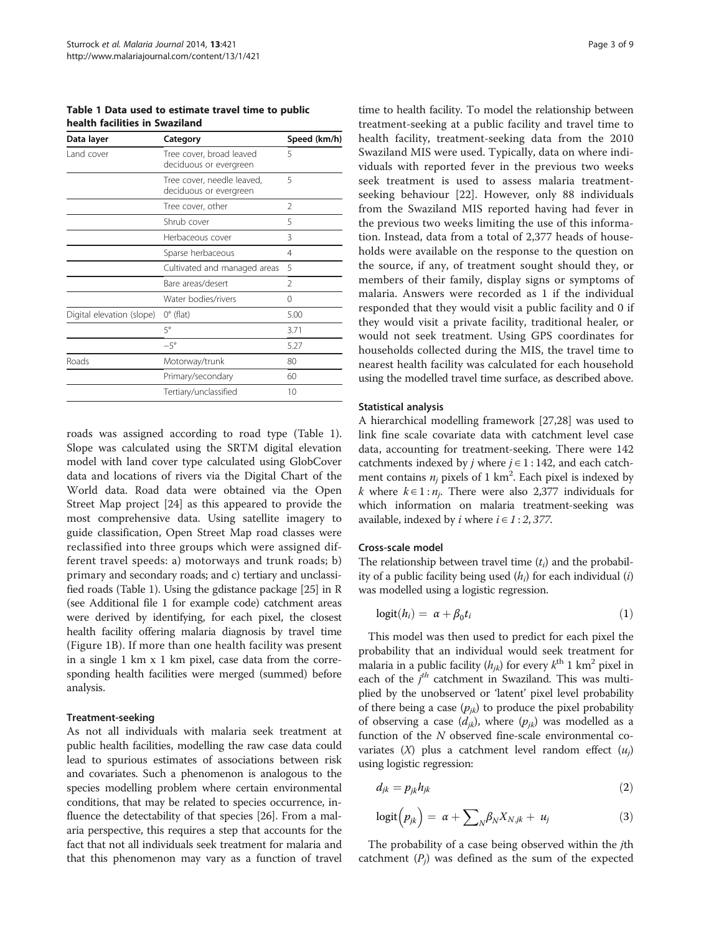<span id="page-2-0"></span>Table 1 Data used to estimate travel time to public health facilities in Swaziland

| Data layer                | Category                                             | Speed (km/h)   |
|---------------------------|------------------------------------------------------|----------------|
| Land cover                | Tree cover, broad leaved<br>deciduous or evergreen   | 5              |
|                           | Tree cover, needle leaved,<br>deciduous or evergreen | 5              |
|                           | Tree cover, other                                    | $\mathfrak{D}$ |
|                           | Shrub cover                                          | 5              |
|                           | Herbaceous cover                                     | 3              |
|                           | Sparse herbaceous                                    | 4              |
|                           | Cultivated and managed areas                         | 5              |
|                           | Bare areas/desert                                    | $\mathfrak{D}$ |
|                           | Water bodies/rivers                                  | $\Omega$       |
| Digital elevation (slope) | $0^{\circ}$ (flat)                                   | 5.00           |
|                           | 5°                                                   | 3.71           |
|                           | $-5^\circ$                                           | 5.27           |
| Roads                     | Motorway/trunk                                       | 80             |
|                           | Primary/secondary                                    | 60             |
|                           | Tertiary/unclassified                                | 10             |
|                           |                                                      |                |

roads was assigned according to road type (Table 1). Slope was calculated using the SRTM digital elevation model with land cover type calculated using GlobCover data and locations of rivers via the Digital Chart of the World data. Road data were obtained via the Open Street Map project [[24](#page-8-0)] as this appeared to provide the most comprehensive data. Using satellite imagery to guide classification, Open Street Map road classes were reclassified into three groups which were assigned different travel speeds: a) motorways and trunk roads; b) primary and secondary roads; and c) tertiary and unclassified roads (Table 1). Using the gdistance package [\[25](#page-8-0)] in R (see Additional file [1](#page-7-0) for example code) catchment areas were derived by identifying, for each pixel, the closest health facility offering malaria diagnosis by travel time (Figure [1B](#page-3-0)). If more than one health facility was present in a single 1 km x 1 km pixel, case data from the corresponding health facilities were merged (summed) before analysis.

#### Treatment-seeking

As not all individuals with malaria seek treatment at public health facilities, modelling the raw case data could lead to spurious estimates of associations between risk and covariates. Such a phenomenon is analogous to the species modelling problem where certain environmental conditions, that may be related to species occurrence, influence the detectability of that species [\[26\]](#page-8-0). From a malaria perspective, this requires a step that accounts for the fact that not all individuals seek treatment for malaria and that this phenomenon may vary as a function of travel

time to health facility. To model the relationship between treatment-seeking at a public facility and travel time to health facility, treatment-seeking data from the 2010 Swaziland MIS were used. Typically, data on where individuals with reported fever in the previous two weeks seek treatment is used to assess malaria treatmentseeking behaviour [\[22](#page-8-0)]. However, only 88 individuals from the Swaziland MIS reported having had fever in the previous two weeks limiting the use of this information. Instead, data from a total of 2,377 heads of households were available on the response to the question on the source, if any, of treatment sought should they, or members of their family, display signs or symptoms of malaria. Answers were recorded as 1 if the individual responded that they would visit a public facility and 0 if they would visit a private facility, traditional healer, or would not seek treatment. Using GPS coordinates for households collected during the MIS, the travel time to nearest health facility was calculated for each household using the modelled travel time surface, as described above.

#### Statistical analysis

A hierarchical modelling framework [\[27,28\]](#page-8-0) was used to link fine scale covariate data with catchment level case data, accounting for treatment-seeking. There were 142 catchments indexed by *j* where  $j \in 1:142$ , and each catchment contains  $n_j$  pixels of 1 km<sup>2</sup>. Each pixel is indexed by *k* where  $k \in 1 : n_i$ . There were also 2,377 individuals for which information on malaria treatment-seeking was available, indexed by *i* where  $i \in 1:2,377$ .

#### Cross-scale model

The relationship between travel time  $(t_i)$  and the probability of a public facility being used  $(h_i)$  for each individual  $(i)$ was modelled using a logistic regression.

$$
logit(h_i) = \alpha + \beta_0 t_i \tag{1}
$$

This model was then used to predict for each pixel the probability that an individual would seek treatment for malaria in a public facility  $(h_{ik})$  for every  $k^{\text{th}}$  1 km<sup>2</sup> pixel in each of the  $j<sup>th</sup>$  catchment in Swaziland. This was multiplied by the unobserved or 'latent' pixel level probability of there being a case  $(p_{jk})$  to produce the pixel probability of observing a case  $(d_{jk})$ , where  $(p_{jk})$  was modelled as a function of the N observed fine-scale environmental covariates  $(X)$  plus a catchment level random effect  $(u_i)$ using logistic regression:

$$
d_{jk} = p_{jk} h_{jk} \tag{2}
$$

$$
logit(p_{jk}) = \alpha + \sum_{N} \beta_{N} X_{N,jk} + u_{j}
$$
 (3)

The probability of a case being observed within the jth catchment  $(P_i)$  was defined as the sum of the expected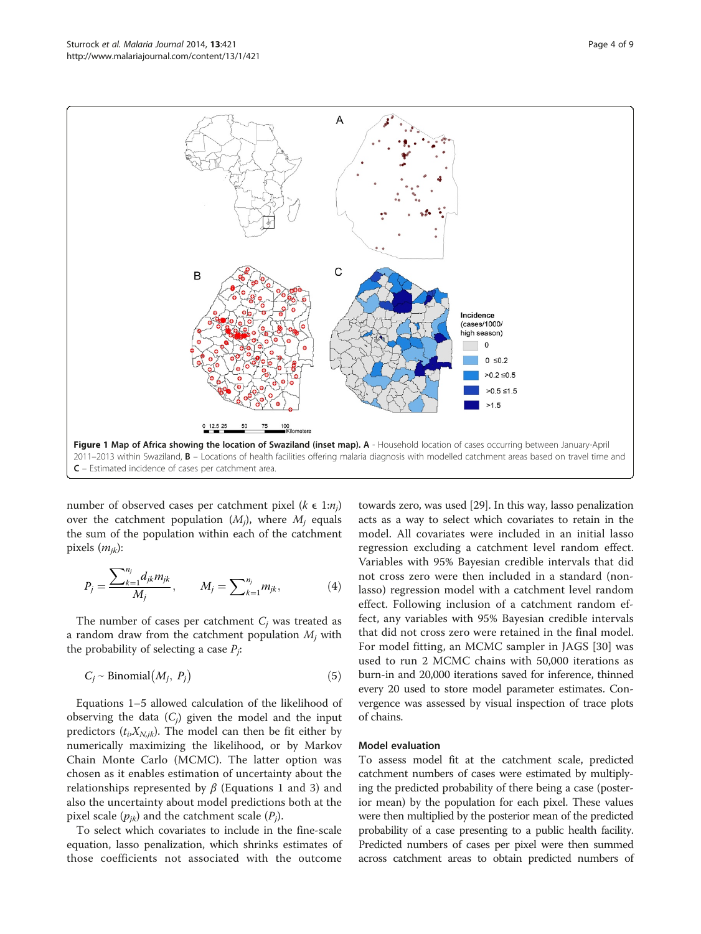<span id="page-3-0"></span>

number of observed cases per catchment pixel ( $k \in 1:n_j$ ) over the catchment population  $(M_i)$ , where  $M_i$  equals the sum of the population within each of the catchment pixels  $(m_{ik})$ :

$$
P_j = \frac{\sum_{k=1}^{n_j} d_{jk} m_{jk}}{M_j}, \qquad M_j = \sum_{k=1}^{n_j} m_{jk}, \qquad (4)
$$

The number of cases per catchment  $C_i$  was treated as a random draw from the catchment population  $M_i$  with the probability of selecting a case  $P_i$ :

$$
C_j \sim Binomial(M_j, P_j)
$$
 (5)

Equations [1](#page-2-0)–5 allowed calculation of the likelihood of observing the data  $(C_i)$  given the model and the input predictors  $(t_i, X_{N,i,k})$ . The model can then be fit either by numerically maximizing the likelihood, or by Markov Chain Monte Carlo (MCMC). The latter option was chosen as it enables estimation of uncertainty about the relationships represented by  $\beta$  (Equations [1](#page-2-0) and [3](#page-2-0)) and also the uncertainty about model predictions both at the pixel scale  $(p_{ik})$  and the catchment scale  $(P_i)$ .

To select which covariates to include in the fine-scale equation, lasso penalization, which shrinks estimates of those coefficients not associated with the outcome

towards zero, was used [\[29](#page-8-0)]. In this way, lasso penalization acts as a way to select which covariates to retain in the model. All covariates were included in an initial lasso regression excluding a catchment level random effect. Variables with 95% Bayesian credible intervals that did not cross zero were then included in a standard (nonlasso) regression model with a catchment level random effect. Following inclusion of a catchment random effect, any variables with 95% Bayesian credible intervals that did not cross zero were retained in the final model. For model fitting, an MCMC sampler in JAGS [[30\]](#page-8-0) was used to run 2 MCMC chains with 50,000 iterations as burn-in and 20,000 iterations saved for inference, thinned every 20 used to store model parameter estimates. Convergence was assessed by visual inspection of trace plots of chains.

#### Model evaluation

To assess model fit at the catchment scale, predicted catchment numbers of cases were estimated by multiplying the predicted probability of there being a case (posterior mean) by the population for each pixel. These values were then multiplied by the posterior mean of the predicted probability of a case presenting to a public health facility. Predicted numbers of cases per pixel were then summed across catchment areas to obtain predicted numbers of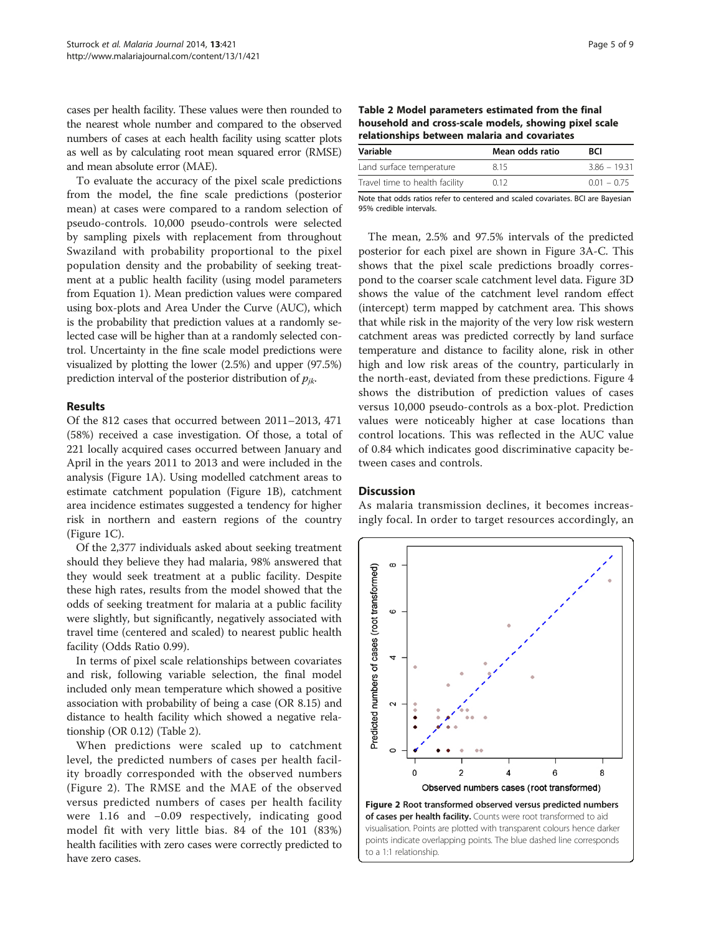cases per health facility. These values were then rounded to the nearest whole number and compared to the observed numbers of cases at each health facility using scatter plots as well as by calculating root mean squared error (RMSE) and mean absolute error (MAE).

To evaluate the accuracy of the pixel scale predictions from the model, the fine scale predictions (posterior mean) at cases were compared to a random selection of pseudo-controls. 10,000 pseudo-controls were selected by sampling pixels with replacement from throughout Swaziland with probability proportional to the pixel population density and the probability of seeking treatment at a public health facility (using model parameters from Equation [1](#page-2-0)). Mean prediction values were compared using box-plots and Area Under the Curve (AUC), which is the probability that prediction values at a randomly selected case will be higher than at a randomly selected control. Uncertainty in the fine scale model predictions were visualized by plotting the lower (2.5%) and upper (97.5%) prediction interval of the posterior distribution of  $p_{ik}$ .

#### Results

Of the 812 cases that occurred between 2011–2013, 471 (58%) received a case investigation. Of those, a total of 221 locally acquired cases occurred between January and April in the years 2011 to 2013 and were included in the analysis (Figure [1A](#page-3-0)). Using modelled catchment areas to estimate catchment population (Figure [1B](#page-3-0)), catchment area incidence estimates suggested a tendency for higher risk in northern and eastern regions of the country (Figure [1](#page-3-0)C).

Of the 2,377 individuals asked about seeking treatment should they believe they had malaria, 98% answered that they would seek treatment at a public facility. Despite these high rates, results from the model showed that the odds of seeking treatment for malaria at a public facility were slightly, but significantly, negatively associated with travel time (centered and scaled) to nearest public health facility (Odds Ratio 0.99).

In terms of pixel scale relationships between covariates and risk, following variable selection, the final model included only mean temperature which showed a positive association with probability of being a case (OR 8.15) and distance to health facility which showed a negative relationship (OR 0.12) (Table 2).

When predictions were scaled up to catchment level, the predicted numbers of cases per health facility broadly corresponded with the observed numbers (Figure 2). The RMSE and the MAE of the observed versus predicted numbers of cases per health facility were 1.16 and −0.09 respectively, indicating good model fit with very little bias. 84 of the 101 (83%) health facilities with zero cases were correctly predicted to have zero cases.

| Table 2 Model parameters estimated from the final     |  |  |  |
|-------------------------------------------------------|--|--|--|
| household and cross-scale models, showing pixel scale |  |  |  |
| relationships between malaria and covariates          |  |  |  |

| Variable                       | Mean odds ratio | <b>BCI</b>     |
|--------------------------------|-----------------|----------------|
| Land surface temperature       | 815             | $3.86 - 19.31$ |
| Travel time to health facility | 0.12            | $0.01 - 0.75$  |

Note that odds ratios refer to centered and scaled covariates. BCI are Bayesian 95% credible intervals.

The mean, 2.5% and 97.5% intervals of the predicted posterior for each pixel are shown in Figure [3A](#page-5-0)-C. This shows that the pixel scale predictions broadly correspond to the coarser scale catchment level data. Figure [3](#page-5-0)D shows the value of the catchment level random effect (intercept) term mapped by catchment area. This shows that while risk in the majority of the very low risk western catchment areas was predicted correctly by land surface temperature and distance to facility alone, risk in other high and low risk areas of the country, particularly in the north-east, deviated from these predictions. Figure [4](#page-5-0) shows the distribution of prediction values of cases versus 10,000 pseudo-controls as a box-plot. Prediction values were noticeably higher at case locations than control locations. This was reflected in the AUC value of 0.84 which indicates good discriminative capacity between cases and controls.

#### Discussion

As malaria transmission declines, it becomes increasingly focal. In order to target resources accordingly, an



visualisation. Points are plotted with transparent colours hence darker points indicate overlapping points. The blue dashed line corresponds to a 1:1 relationship.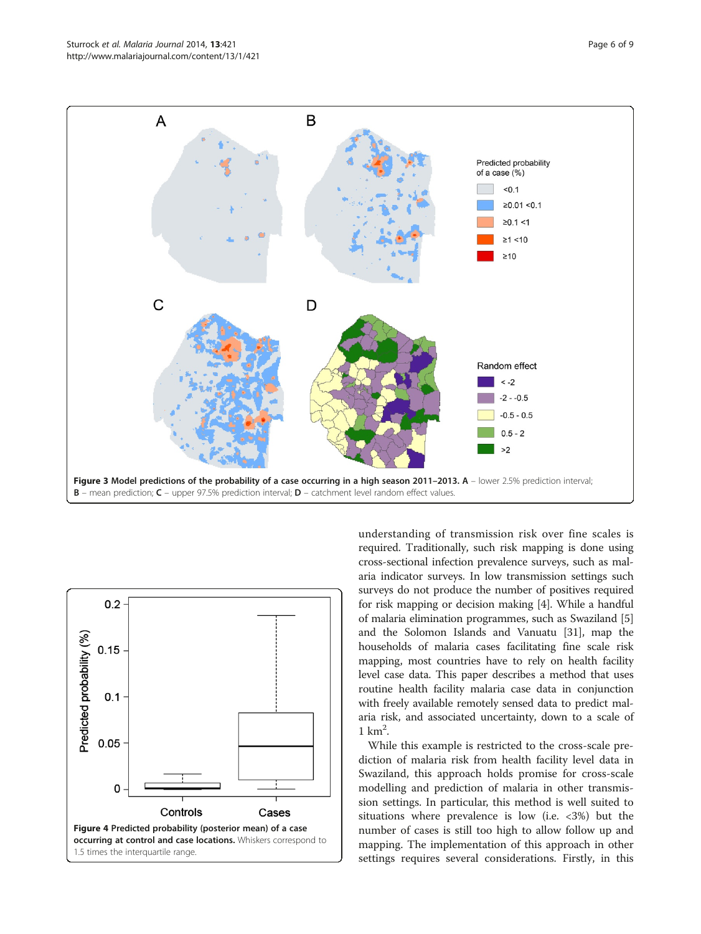<span id="page-5-0"></span>



understanding of transmission risk over fine scales is required. Traditionally, such risk mapping is done using cross-sectional infection prevalence surveys, such as malaria indicator surveys. In low transmission settings such surveys do not produce the number of positives required for risk mapping or decision making [[4](#page-8-0)]. While a handful of malaria elimination programmes, such as Swaziland [[5](#page-8-0)] and the Solomon Islands and Vanuatu [\[31\]](#page-8-0), map the households of malaria cases facilitating fine scale risk mapping, most countries have to rely on health facility level case data. This paper describes a method that uses routine health facility malaria case data in conjunction with freely available remotely sensed data to predict malaria risk, and associated uncertainty, down to a scale of  $1 \text{ km}^2$ .

While this example is restricted to the cross-scale prediction of malaria risk from health facility level data in Swaziland, this approach holds promise for cross-scale modelling and prediction of malaria in other transmission settings. In particular, this method is well suited to situations where prevalence is low (i.e. <3%) but the number of cases is still too high to allow follow up and mapping. The implementation of this approach in other settings requires several considerations. Firstly, in this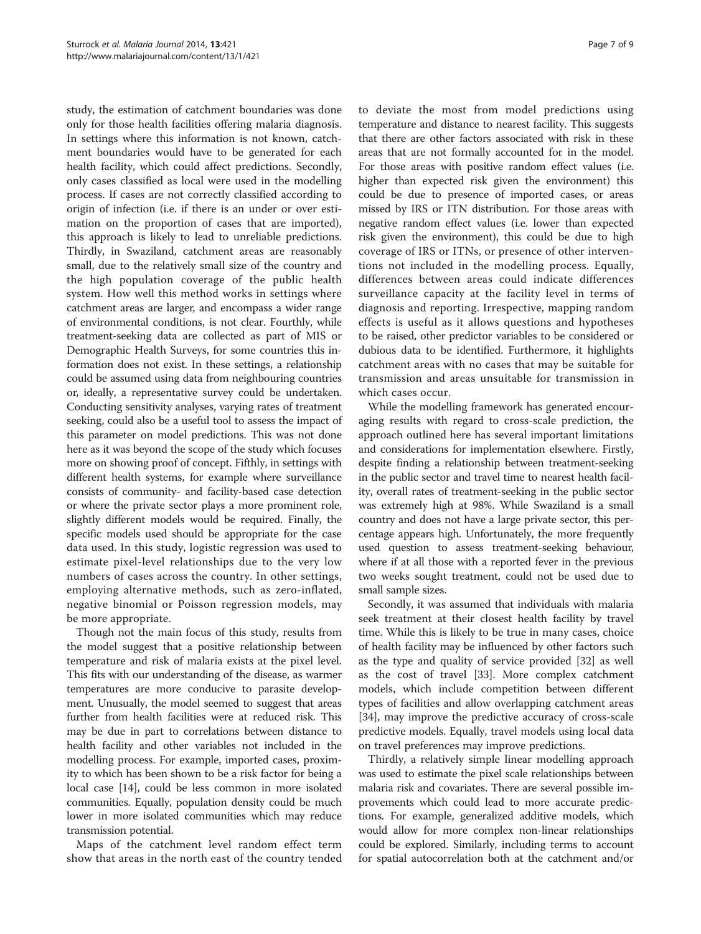study, the estimation of catchment boundaries was done only for those health facilities offering malaria diagnosis. In settings where this information is not known, catchment boundaries would have to be generated for each health facility, which could affect predictions. Secondly, only cases classified as local were used in the modelling process. If cases are not correctly classified according to origin of infection (i.e. if there is an under or over estimation on the proportion of cases that are imported), this approach is likely to lead to unreliable predictions. Thirdly, in Swaziland, catchment areas are reasonably small, due to the relatively small size of the country and the high population coverage of the public health system. How well this method works in settings where catchment areas are larger, and encompass a wider range of environmental conditions, is not clear. Fourthly, while treatment-seeking data are collected as part of MIS or Demographic Health Surveys, for some countries this information does not exist. In these settings, a relationship could be assumed using data from neighbouring countries or, ideally, a representative survey could be undertaken. Conducting sensitivity analyses, varying rates of treatment seeking, could also be a useful tool to assess the impact of this parameter on model predictions. This was not done here as it was beyond the scope of the study which focuses more on showing proof of concept. Fifthly, in settings with different health systems, for example where surveillance consists of community- and facility-based case detection or where the private sector plays a more prominent role, slightly different models would be required. Finally, the specific models used should be appropriate for the case data used. In this study, logistic regression was used to estimate pixel-level relationships due to the very low numbers of cases across the country. In other settings, employing alternative methods, such as zero-inflated, negative binomial or Poisson regression models, may be more appropriate.

Though not the main focus of this study, results from the model suggest that a positive relationship between temperature and risk of malaria exists at the pixel level. This fits with our understanding of the disease, as warmer temperatures are more conducive to parasite development. Unusually, the model seemed to suggest that areas further from health facilities were at reduced risk. This may be due in part to correlations between distance to health facility and other variables not included in the modelling process. For example, imported cases, proximity to which has been shown to be a risk factor for being a local case [\[14\]](#page-8-0), could be less common in more isolated communities. Equally, population density could be much lower in more isolated communities which may reduce transmission potential.

Maps of the catchment level random effect term show that areas in the north east of the country tended

to deviate the most from model predictions using temperature and distance to nearest facility. This suggests that there are other factors associated with risk in these areas that are not formally accounted for in the model. For those areas with positive random effect values (i.e. higher than expected risk given the environment) this could be due to presence of imported cases, or areas missed by IRS or ITN distribution. For those areas with negative random effect values (i.e. lower than expected risk given the environment), this could be due to high coverage of IRS or ITNs, or presence of other interventions not included in the modelling process. Equally, differences between areas could indicate differences surveillance capacity at the facility level in terms of diagnosis and reporting. Irrespective, mapping random effects is useful as it allows questions and hypotheses to be raised, other predictor variables to be considered or dubious data to be identified. Furthermore, it highlights catchment areas with no cases that may be suitable for transmission and areas unsuitable for transmission in which cases occur.

While the modelling framework has generated encouraging results with regard to cross-scale prediction, the approach outlined here has several important limitations and considerations for implementation elsewhere. Firstly, despite finding a relationship between treatment-seeking in the public sector and travel time to nearest health facility, overall rates of treatment-seeking in the public sector was extremely high at 98%. While Swaziland is a small country and does not have a large private sector, this percentage appears high. Unfortunately, the more frequently used question to assess treatment-seeking behaviour, where if at all those with a reported fever in the previous two weeks sought treatment, could not be used due to small sample sizes.

Secondly, it was assumed that individuals with malaria seek treatment at their closest health facility by travel time. While this is likely to be true in many cases, choice of health facility may be influenced by other factors such as the type and quality of service provided [[32\]](#page-8-0) as well as the cost of travel [[33\]](#page-8-0). More complex catchment models, which include competition between different types of facilities and allow overlapping catchment areas [[34\]](#page-8-0), may improve the predictive accuracy of cross-scale predictive models. Equally, travel models using local data on travel preferences may improve predictions.

Thirdly, a relatively simple linear modelling approach was used to estimate the pixel scale relationships between malaria risk and covariates. There are several possible improvements which could lead to more accurate predictions. For example, generalized additive models, which would allow for more complex non-linear relationships could be explored. Similarly, including terms to account for spatial autocorrelation both at the catchment and/or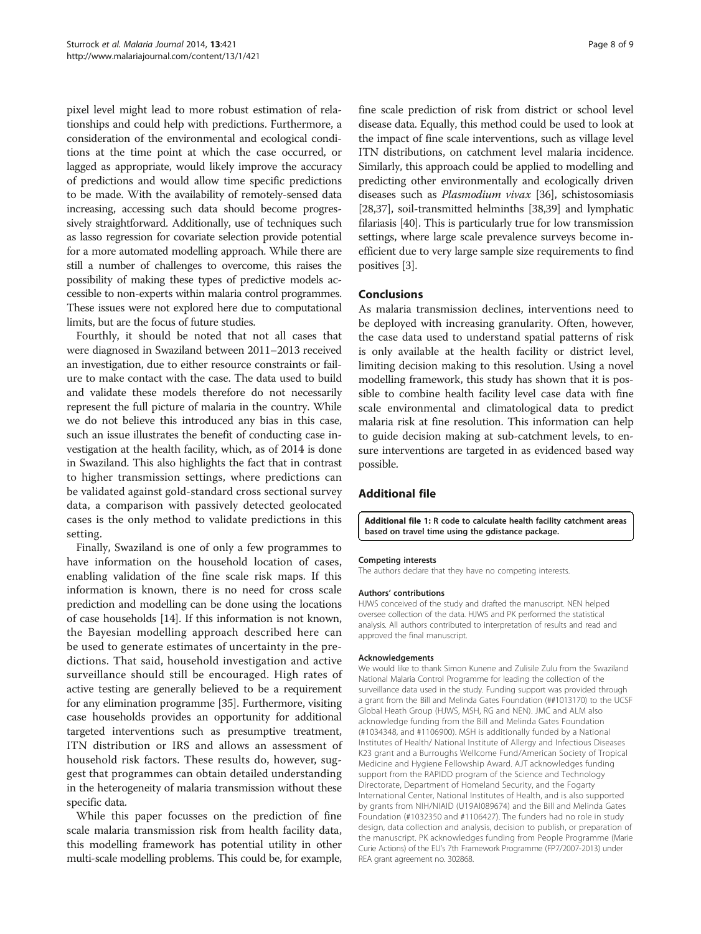<span id="page-7-0"></span>pixel level might lead to more robust estimation of relationships and could help with predictions. Furthermore, a consideration of the environmental and ecological conditions at the time point at which the case occurred, or lagged as appropriate, would likely improve the accuracy of predictions and would allow time specific predictions to be made. With the availability of remotely-sensed data increasing, accessing such data should become progressively straightforward. Additionally, use of techniques such as lasso regression for covariate selection provide potential for a more automated modelling approach. While there are still a number of challenges to overcome, this raises the possibility of making these types of predictive models accessible to non-experts within malaria control programmes. These issues were not explored here due to computational limits, but are the focus of future studies.

Fourthly, it should be noted that not all cases that were diagnosed in Swaziland between 2011–2013 received an investigation, due to either resource constraints or failure to make contact with the case. The data used to build and validate these models therefore do not necessarily represent the full picture of malaria in the country. While we do not believe this introduced any bias in this case, such an issue illustrates the benefit of conducting case investigation at the health facility, which, as of 2014 is done in Swaziland. This also highlights the fact that in contrast to higher transmission settings, where predictions can be validated against gold-standard cross sectional survey data, a comparison with passively detected geolocated cases is the only method to validate predictions in this setting.

Finally, Swaziland is one of only a few programmes to have information on the household location of cases, enabling validation of the fine scale risk maps. If this information is known, there is no need for cross scale prediction and modelling can be done using the locations of case households [\[14\]](#page-8-0). If this information is not known, the Bayesian modelling approach described here can be used to generate estimates of uncertainty in the predictions. That said, household investigation and active surveillance should still be encouraged. High rates of active testing are generally believed to be a requirement for any elimination programme [\[35](#page-8-0)]. Furthermore, visiting case households provides an opportunity for additional targeted interventions such as presumptive treatment, ITN distribution or IRS and allows an assessment of household risk factors. These results do, however, suggest that programmes can obtain detailed understanding in the heterogeneity of malaria transmission without these specific data.

While this paper focusses on the prediction of fine scale malaria transmission risk from health facility data, this modelling framework has potential utility in other multi-scale modelling problems. This could be, for example, fine scale prediction of risk from district or school level disease data. Equally, this method could be used to look at the impact of fine scale interventions, such as village level ITN distributions, on catchment level malaria incidence. Similarly, this approach could be applied to modelling and predicting other environmentally and ecologically driven diseases such as Plasmodium vivax [\[36](#page-8-0)], schistosomiasis [[28](#page-8-0),[37](#page-8-0)], soil-transmitted helminths [\[38,39](#page-8-0)] and lymphatic filariasis [[40\]](#page-8-0). This is particularly true for low transmission settings, where large scale prevalence surveys become inefficient due to very large sample size requirements to find positives [[3\]](#page-8-0).

#### Conclusions

As malaria transmission declines, interventions need to be deployed with increasing granularity. Often, however, the case data used to understand spatial patterns of risk is only available at the health facility or district level, limiting decision making to this resolution. Using a novel modelling framework, this study has shown that it is possible to combine health facility level case data with fine scale environmental and climatological data to predict malaria risk at fine resolution. This information can help to guide decision making at sub-catchment levels, to ensure interventions are targeted in as evidenced based way possible.

### Additional file

[Additional file 1:](http://www.biomedcentral.com/content/supplementary/1475-2875-13-421-S1.docx) R code to calculate health facility catchment areas based on travel time using the gdistance package.

#### Competing interests

The authors declare that they have no competing interests.

#### Authors' contributions

HJWS conceived of the study and drafted the manuscript. NEN helped oversee collection of the data. HJWS and PK performed the statistical analysis. All authors contributed to interpretation of results and read and approved the final manuscript.

#### Acknowledgements

We would like to thank Simon Kunene and Zulisile Zulu from the Swaziland National Malaria Control Programme for leading the collection of the surveillance data used in the study. Funding support was provided through a grant from the Bill and Melinda Gates Foundation (##1013170) to the UCSF Global Heath Group (HJWS, MSH, RG and NEN). JMC and ALM also acknowledge funding from the Bill and Melinda Gates Foundation (#1034348, and #1106900). MSH is additionally funded by a National Institutes of Health/ National Institute of Allergy and Infectious Diseases K23 grant and a Burroughs Wellcome Fund/American Society of Tropical Medicine and Hygiene Fellowship Award. AJT acknowledges funding support from the RAPIDD program of the Science and Technology Directorate, Department of Homeland Security, and the Fogarty International Center, National Institutes of Health, and is also supported by grants from NIH/NIAID (U19AI089674) and the Bill and Melinda Gates Foundation (#1032350 and #1106427). The funders had no role in study design, data collection and analysis, decision to publish, or preparation of the manuscript. PK acknowledges funding from People Programme (Marie Curie Actions) of the EU's 7th Framework Programme (FP7/2007-2013) under REA grant agreement no. 302868.